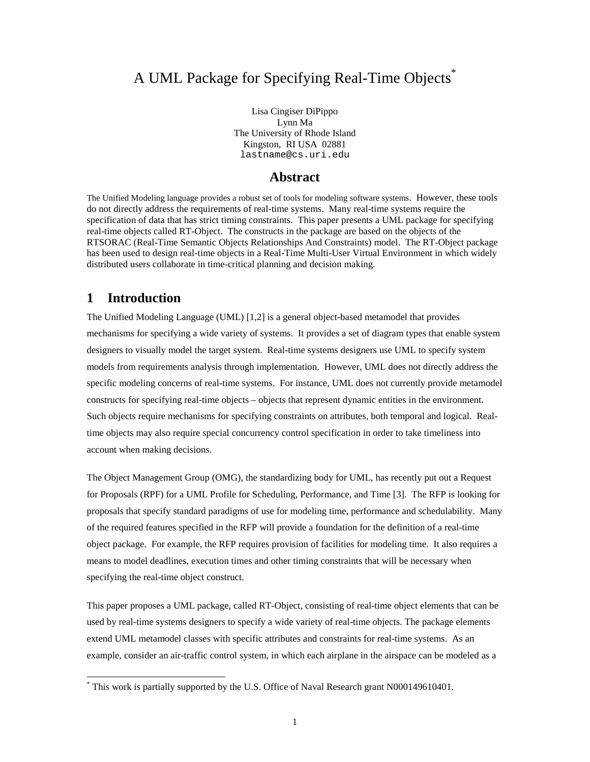# A UML Package for Specifying Real-Time Objects<sup>\*</sup>

Lisa Cingiser DiPippo Lynn Ma The University of Rhode Island Kingston, RI USA 02881 lastname@cs.uri.edu

## **Abstract**

The Unified Modeling language provides a robust set of tools for modeling software systems. However, these tools do not directly address the requirements of real-time systems. Many real-time systems require the specification of data that has strict timing constraints. This paper presents a UML package for specifying real-time objects called RT-Object. The constructs in the package are based on the objects of the RTSORAC (Real-Time Semantic Objects Relationships And Constraints) model. The RT-Object package has been used to design real-time objects in a Real-Time Multi-User Virtual Environment in which widely distributed users collaborate in time-critical planning and decision making.

## **1 Introduction**

 $\overline{a}$ 

The Unified Modeling Language (UML) [1,2] is a general object-based metamodel that provides mechanisms for specifying a wide variety of systems. It provides a set of diagram types that enable system designers to visually model the target system. Real-time systems designers use UML to specify system models from requirements analysis through implementation. However, UML does not directly address the specific modeling concerns of real-time systems. For instance, UML does not currently provide metamodel constructs for specifying real-time objects – objects that represent dynamic entities in the environment. Such objects require mechanisms for specifying constraints on attributes, both temporal and logical. Realtime objects may also require special concurrency control specification in order to take timeliness into account when making decisions.

The Object Management Group (OMG), the standardizing body for UML, has recently put out a Request for Proposals (RPF) for a UML Profile for Scheduling, Performance, and Time [3]. The RFP is looking for proposals that specify standard paradigms of use for modeling time, performance and schedulability. Many of the required features specified in the RFP will provide a foundation for the definition of a real-time object package. For example, the RFP requires provision of facilities for modeling time. It also requires a means to model deadlines, execution times and other timing constraints that will be necessary when specifying the real-time object construct.

This paper proposes a UML package, called RT-Object, consisting of real-time object elements that can be used by real-time systems designers to specify a wide variety of real-time objects. The package elements extend UML metamodel classes with specific attributes and constraints for real-time systems. As an example, consider an air-traffic control system, in which each airplane in the airspace can be modeled as a

<sup>\*</sup> This work is partially supported by the U.S. Office of Naval Research grant N000149610401.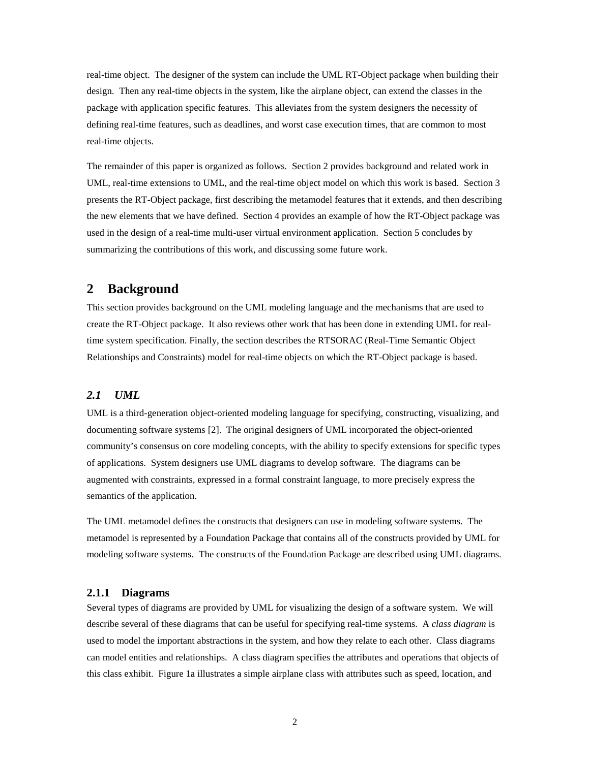real-time object. The designer of the system can include the UML RT-Object package when building their design. Then any real-time objects in the system, like the airplane object, can extend the classes in the package with application specific features. This alleviates from the system designers the necessity of defining real-time features, such as deadlines, and worst case execution times, that are common to most real-time objects.

The remainder of this paper is organized as follows. Section 2 provides background and related work in UML, real-time extensions to UML, and the real-time object model on which this work is based. Section 3 presents the RT-Object package, first describing the metamodel features that it extends, and then describing the new elements that we have defined. Section 4 provides an example of how the RT-Object package was used in the design of a real-time multi-user virtual environment application. Section 5 concludes by summarizing the contributions of this work, and discussing some future work.

## **2 Background**

This section provides background on the UML modeling language and the mechanisms that are used to create the RT-Object package. It also reviews other work that has been done in extending UML for realtime system specification. Finally, the section describes the RTSORAC (Real-Time Semantic Object Relationships and Constraints) model for real-time objects on which the RT-Object package is based.

#### *2.1 UML*

UML is a third-generation object-oriented modeling language for specifying, constructing, visualizing, and documenting software systems [2]. The original designers of UML incorporated the object-oriented community's consensus on core modeling concepts, with the ability to specify extensions for specific types of applications. System designers use UML diagrams to develop software. The diagrams can be augmented with constraints, expressed in a formal constraint language, to more precisely express the semantics of the application.

The UML metamodel defines the constructs that designers can use in modeling software systems. The metamodel is represented by a Foundation Package that contains all of the constructs provided by UML for modeling software systems. The constructs of the Foundation Package are described using UML diagrams.

### **2.1.1 Diagrams**

Several types of diagrams are provided by UML for visualizing the design of a software system. We will describe several of these diagrams that can be useful for specifying real-time systems. A *class diagram* is used to model the important abstractions in the system, and how they relate to each other. Class diagrams can model entities and relationships. A class diagram specifies the attributes and operations that objects of this class exhibit. Figure 1a illustrates a simple airplane class with attributes such as speed, location, and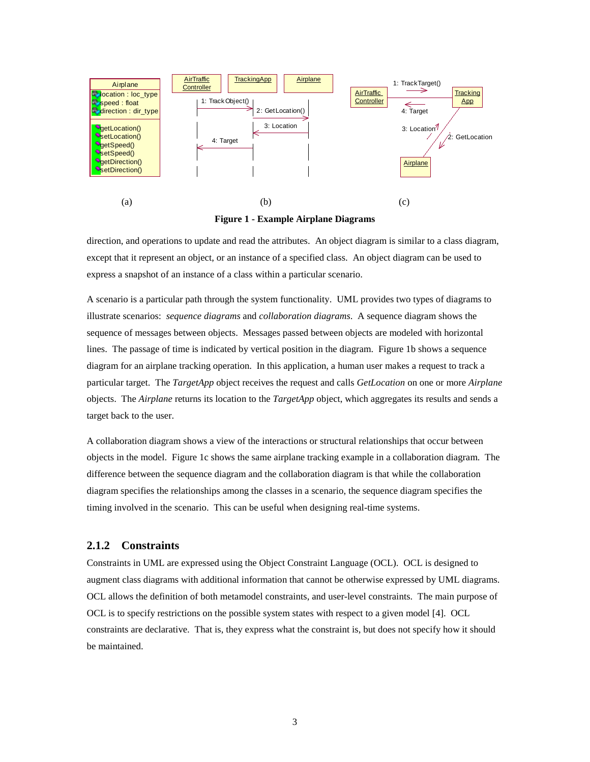

**Figure 1 - Example Airplane Diagrams**

direction, and operations to update and read the attributes. An object diagram is similar to a class diagram, except that it represent an object, or an instance of a specified class. An object diagram can be used to express a snapshot of an instance of a class within a particular scenario.

A scenario is a particular path through the system functionality. UML provides two types of diagrams to illustrate scenarios: *sequence diagrams* and *collaboration diagrams*. A sequence diagram shows the sequence of messages between objects. Messages passed between objects are modeled with horizontal lines. The passage of time is indicated by vertical position in the diagram. Figure 1b shows a sequence diagram for an airplane tracking operation. In this application, a human user makes a request to track a particular target. The *TargetApp* object receives the request and calls *GetLocation* on one or more *Airplane* objects. The *Airplane* returns its location to the *TargetApp* object, which aggregates its results and sends a target back to the user.

A collaboration diagram shows a view of the interactions or structural relationships that occur between objects in the model. Figure 1c shows the same airplane tracking example in a collaboration diagram. The difference between the sequence diagram and the collaboration diagram is that while the collaboration diagram specifies the relationships among the classes in a scenario, the sequence diagram specifies the timing involved in the scenario. This can be useful when designing real-time systems.

### **2.1.2 Constraints**

Constraints in UML are expressed using the Object Constraint Language (OCL). OCL is designed to augment class diagrams with additional information that cannot be otherwise expressed by UML diagrams. OCL allows the definition of both metamodel constraints, and user-level constraints. The main purpose of OCL is to specify restrictions on the possible system states with respect to a given model [4]. OCL constraints are declarative. That is, they express what the constraint is, but does not specify how it should be maintained.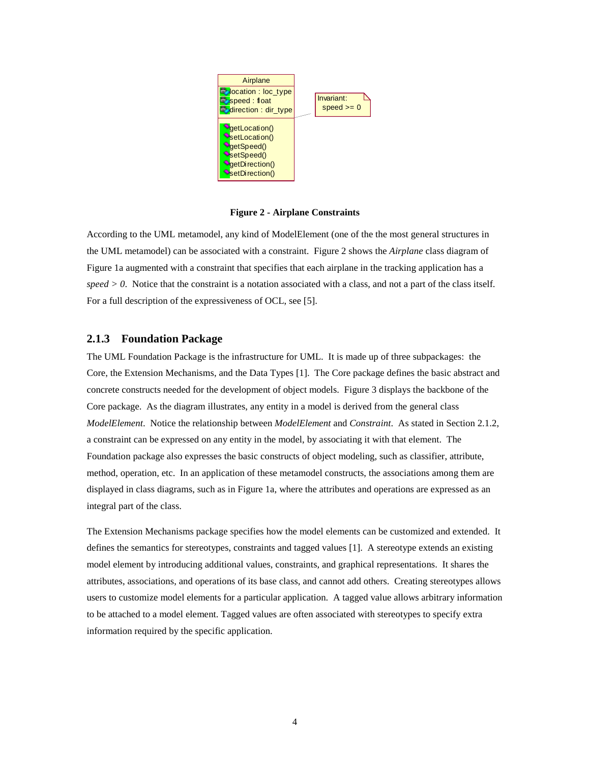

**Figure 2 - Airplane Constraints**

According to the UML metamodel, any kind of ModelElement (one of the the most general structures in the UML metamodel) can be associated with a constraint. Figure 2 shows the *Airplane* class diagram of Figure 1a augmented with a constraint that specifies that each airplane in the tracking application has a *speed > 0*. Notice that the constraint is a notation associated with a class, and not a part of the class itself. For a full description of the expressiveness of OCL, see [5].

#### **2.1.3 Foundation Package**

The UML Foundation Package is the infrastructure for UML. It is made up of three subpackages: the Core, the Extension Mechanisms, and the Data Types [1]. The Core package defines the basic abstract and concrete constructs needed for the development of object models. Figure 3 displays the backbone of the Core package. As the diagram illustrates, any entity in a model is derived from the general class *ModelElement*. Notice the relationship between *ModelElement* and *Constraint*. As stated in Section 2.1.2, a constraint can be expressed on any entity in the model, by associating it with that element. The Foundation package also expresses the basic constructs of object modeling, such as classifier, attribute, method, operation, etc. In an application of these metamodel constructs, the associations among them are displayed in class diagrams, such as in Figure 1a, where the attributes and operations are expressed as an integral part of the class.

The Extension Mechanisms package specifies how the model elements can be customized and extended. It defines the semantics for stereotypes, constraints and tagged values [1]. A stereotype extends an existing model element by introducing additional values, constraints, and graphical representations. It shares the attributes, associations, and operations of its base class, and cannot add others. Creating stereotypes allows users to customize model elements for a particular application. A tagged value allows arbitrary information to be attached to a model element. Tagged values are often associated with stereotypes to specify extra information required by the specific application.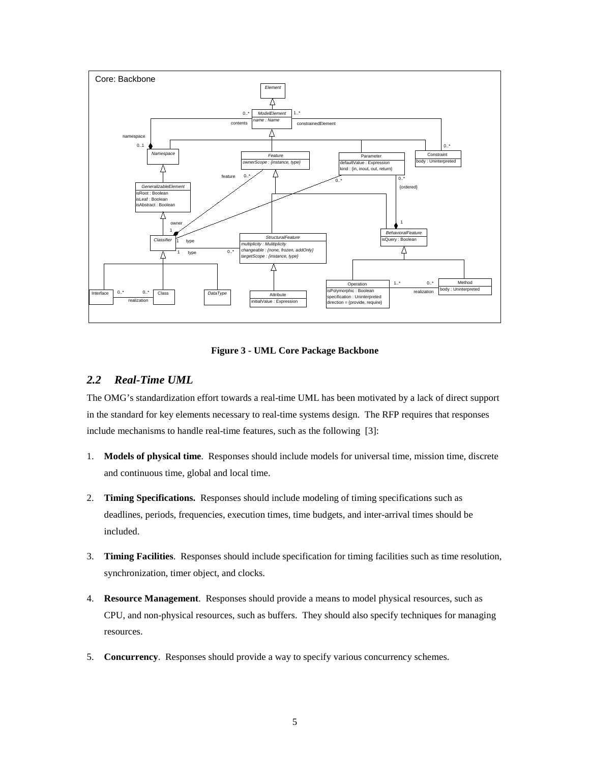

**Figure 3 - UML Core Package Backbone**

## *2.2 Real-Time UML*

The OMG's standardization effort towards a real-time UML has been motivated by a lack of direct support in the standard for key elements necessary to real-time systems design. The RFP requires that responses include mechanisms to handle real-time features, such as the following [3]:

- 1. **Models of physical time**. Responses should include models for universal time, mission time, discrete and continuous time, global and local time.
- 2. **Timing Specifications.** Responses should include modeling of timing specifications such as deadlines, periods, frequencies, execution times, time budgets, and inter-arrival times should be included.
- 3. **Timing Facilities**. Responses should include specification for timing facilities such as time resolution, synchronization, timer object, and clocks.
- 4. **Resource Management**. Responses should provide a means to model physical resources, such as CPU, and non-physical resources, such as buffers. They should also specify techniques for managing resources.
- 5. **Concurrency**. Responses should provide a way to specify various concurrency schemes.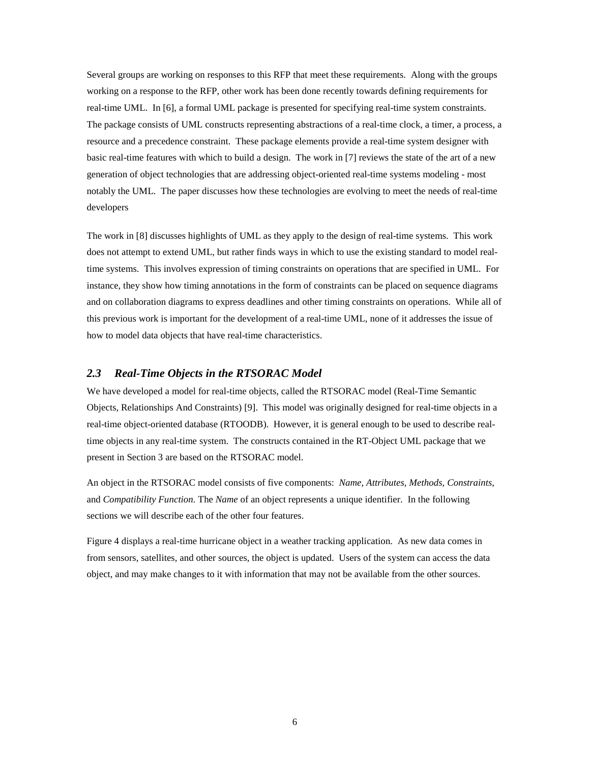Several groups are working on responses to this RFP that meet these requirements. Along with the groups working on a response to the RFP, other work has been done recently towards defining requirements for real-time UML. In [6], a formal UML package is presented for specifying real-time system constraints. The package consists of UML constructs representing abstractions of a real-time clock, a timer, a process, a resource and a precedence constraint. These package elements provide a real-time system designer with basic real-time features with which to build a design. The work in [7] reviews the state of the art of a new generation of object technologies that are addressing object-oriented real-time systems modeling - most notably the UML. The paper discusses how these technologies are evolving to meet the needs of real-time developers

The work in [8] discusses highlights of UML as they apply to the design of real-time systems. This work does not attempt to extend UML, but rather finds ways in which to use the existing standard to model realtime systems. This involves expression of timing constraints on operations that are specified in UML. For instance, they show how timing annotations in the form of constraints can be placed on sequence diagrams and on collaboration diagrams to express deadlines and other timing constraints on operations. While all of this previous work is important for the development of a real-time UML, none of it addresses the issue of how to model data objects that have real-time characteristics.

#### *2.3 Real-Time Objects in the RTSORAC Model*

We have developed a model for real-time objects, called the RTSORAC model (Real-Time Semantic Objects, Relationships And Constraints) [9]. This model was originally designed for real-time objects in a real-time object-oriented database (RTOODB). However, it is general enough to be used to describe realtime objects in any real-time system. The constructs contained in the RT-Object UML package that we present in Section 3 are based on the RTSORAC model.

An object in the RTSORAC model consists of five components: *Name*, *Attributes*, *Methods*, *Constraints*, and *Compatibility Function.* The *Name* of an object represents a unique identifier. In the following sections we will describe each of the other four features.

Figure 4 displays a real-time hurricane object in a weather tracking application. As new data comes in from sensors, satellites, and other sources, the object is updated. Users of the system can access the data object, and may make changes to it with information that may not be available from the other sources.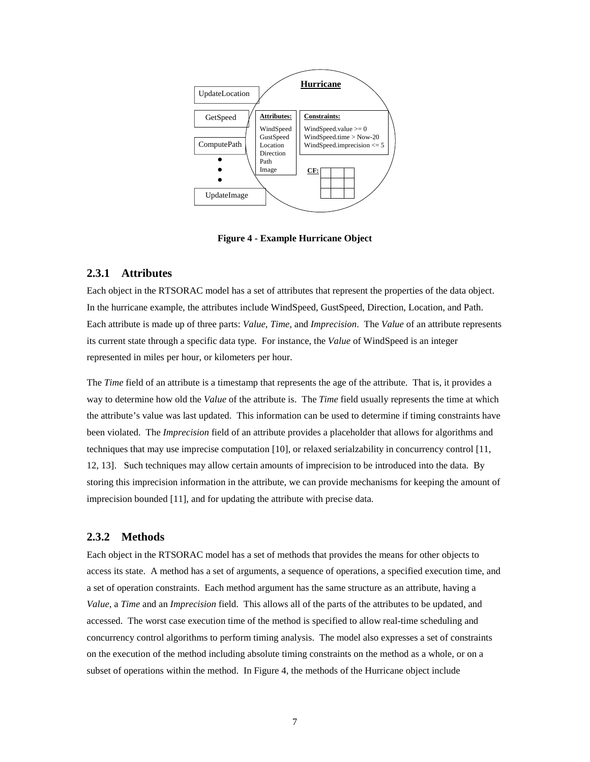

**Figure 4 - Example Hurricane Object**

#### **2.3.1 Attributes**

Each object in the RTSORAC model has a set of attributes that represent the properties of the data object. In the hurricane example, the attributes include WindSpeed, GustSpeed, Direction, Location, and Path. Each attribute is made up of three parts: *Value*, *Time*, and *Imprecision*. The *Value* of an attribute represents its current state through a specific data type. For instance, the *Value* of WindSpeed is an integer represented in miles per hour, or kilometers per hour.

The *Time* field of an attribute is a timestamp that represents the age of the attribute. That is, it provides a way to determine how old the *Value* of the attribute is. The *Time* field usually represents the time at which the attribute's value was last updated. This information can be used to determine if timing constraints have been violated. The *Imprecision* field of an attribute provides a placeholder that allows for algorithms and techniques that may use imprecise computation [10], or relaxed serialzability in concurrency control [11, 12, 13]. Such techniques may allow certain amounts of imprecision to be introduced into the data. By storing this imprecision information in the attribute, we can provide mechanisms for keeping the amount of imprecision bounded [11], and for updating the attribute with precise data.

### **2.3.2 Methods**

Each object in the RTSORAC model has a set of methods that provides the means for other objects to access its state. A method has a set of arguments, a sequence of operations, a specified execution time, and a set of operation constraints. Each method argument has the same structure as an attribute, having a *Value*, a *Time* and an *Imprecision* field. This allows all of the parts of the attributes to be updated, and accessed. The worst case execution time of the method is specified to allow real-time scheduling and concurrency control algorithms to perform timing analysis. The model also expresses a set of constraints on the execution of the method including absolute timing constraints on the method as a whole, or on a subset of operations within the method. In Figure 4, the methods of the Hurricane object include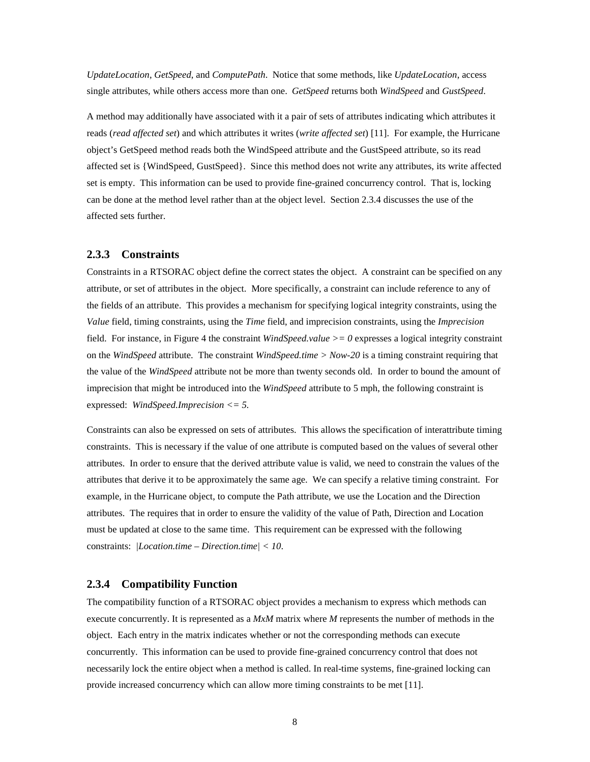*UpdateLocation*, *GetSpeed*, and *ComputePath*. Notice that some methods, like *UpdateLocation*, access single attributes, while others access more than one. *GetSpeed* returns both *WindSpeed* and *GustSpeed*.

A method may additionally have associated with it a pair of sets of attributes indicating which attributes it reads (*read affected set*) and which attributes it writes (*write affected set*) [11]. For example, the Hurricane object's GetSpeed method reads both the WindSpeed attribute and the GustSpeed attribute, so its read affected set is {WindSpeed, GustSpeed}. Since this method does not write any attributes, its write affected set is empty. This information can be used to provide fine-grained concurrency control. That is, locking can be done at the method level rather than at the object level. Section 2.3.4 discusses the use of the affected sets further.

### **2.3.3 Constraints**

Constraints in a RTSORAC object define the correct states the object. A constraint can be specified on any attribute, or set of attributes in the object. More specifically, a constraint can include reference to any of the fields of an attribute. This provides a mechanism for specifying logical integrity constraints, using the *Value* field, timing constraints, using the *Time* field, and imprecision constraints, using the *Imprecision* field. For instance, in Figure 4 the constraint *WindSpeed.value >= 0* expresses a logical integrity constraint on the *WindSpeed* attribute. The constraint *WindSpeed.time > Now-20* is a timing constraint requiring that the value of the *WindSpeed* attribute not be more than twenty seconds old. In order to bound the amount of imprecision that might be introduced into the *WindSpeed* attribute to 5 mph, the following constraint is expressed: *WindSpeed.Imprecision <= 5.*

Constraints can also be expressed on sets of attributes. This allows the specification of interattribute timing constraints. This is necessary if the value of one attribute is computed based on the values of several other attributes. In order to ensure that the derived attribute value is valid, we need to constrain the values of the attributes that derive it to be approximately the same age. We can specify a relative timing constraint. For example, in the Hurricane object, to compute the Path attribute, we use the Location and the Direction attributes. The requires that in order to ensure the validity of the value of Path, Direction and Location must be updated at close to the same time. This requirement can be expressed with the following constraints: *|Location.time – Direction.time| < 10*.

#### **2.3.4 Compatibility Function**

The compatibility function of a RTSORAC object provides a mechanism to express which methods can execute concurrently. It is represented as a *MxM* matrix where *M* represents the number of methods in the object. Each entry in the matrix indicates whether or not the corresponding methods can execute concurrently. This information can be used to provide fine-grained concurrency control that does not necessarily lock the entire object when a method is called. In real-time systems, fine-grained locking can provide increased concurrency which can allow more timing constraints to be met [11].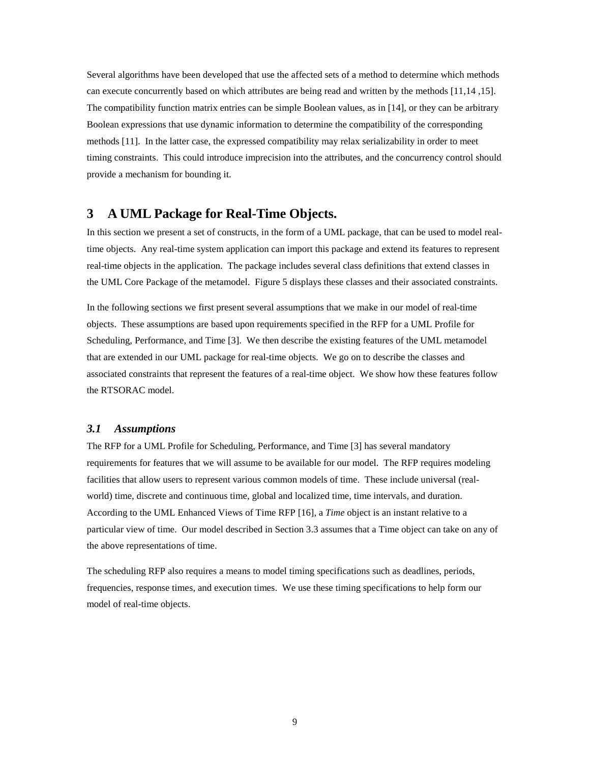Several algorithms have been developed that use the affected sets of a method to determine which methods can execute concurrently based on which attributes are being read and written by the methods [11,14 ,15]. The compatibility function matrix entries can be simple Boolean values, as in [14], or they can be arbitrary Boolean expressions that use dynamic information to determine the compatibility of the corresponding methods [11]. In the latter case, the expressed compatibility may relax serializability in order to meet timing constraints. This could introduce imprecision into the attributes, and the concurrency control should provide a mechanism for bounding it.

## **3 A UML Package for Real-Time Objects.**

In this section we present a set of constructs, in the form of a UML package, that can be used to model realtime objects. Any real-time system application can import this package and extend its features to represent real-time objects in the application. The package includes several class definitions that extend classes in the UML Core Package of the metamodel. Figure 5 displays these classes and their associated constraints.

In the following sections we first present several assumptions that we make in our model of real-time objects. These assumptions are based upon requirements specified in the RFP for a UML Profile for Scheduling, Performance, and Time [3]. We then describe the existing features of the UML metamodel that are extended in our UML package for real-time objects. We go on to describe the classes and associated constraints that represent the features of a real-time object. We show how these features follow the RTSORAC model.

#### *3.1 Assumptions*

The RFP for a UML Profile for Scheduling, Performance, and Time [3] has several mandatory requirements for features that we will assume to be available for our model. The RFP requires modeling facilities that allow users to represent various common models of time. These include universal (realworld) time, discrete and continuous time, global and localized time, time intervals, and duration. According to the UML Enhanced Views of Time RFP [16], a *Time* object is an instant relative to a particular view of time. Our model described in Section 3.3 assumes that a Time object can take on any of the above representations of time.

The scheduling RFP also requires a means to model timing specifications such as deadlines, periods, frequencies, response times, and execution times. We use these timing specifications to help form our model of real-time objects.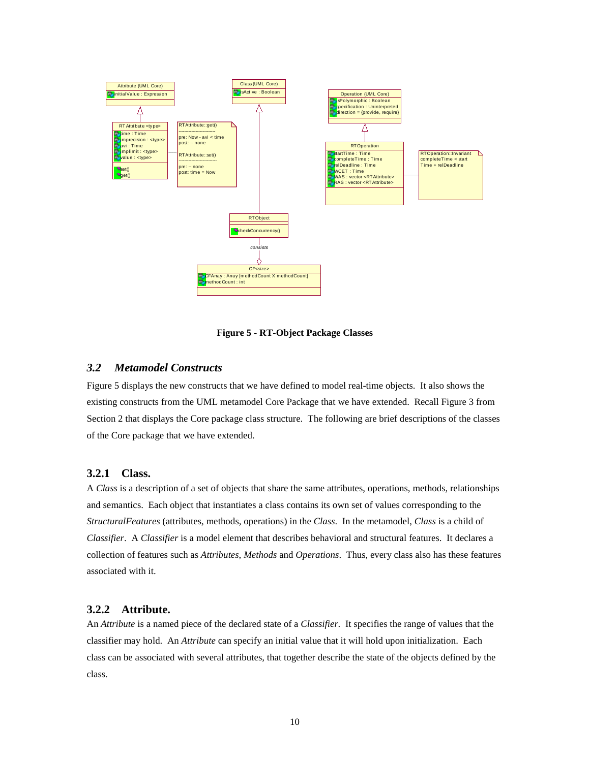

**Figure 5 - RT-Object Package Classes**

## *3.2 Metamodel Constructs*

Figure 5 displays the new constructs that we have defined to model real-time objects. It also shows the existing constructs from the UML metamodel Core Package that we have extended. Recall Figure 3 from Section 2 that displays the Core package class structure. The following are brief descriptions of the classes of the Core package that we have extended.

#### **3.2.1 Class.**

A *Class* is a description of a set of objects that share the same attributes, operations, methods, relationships and semantics. Each object that instantiates a class contains its own set of values corresponding to the *StructuralFeatures* (attributes, methods, operations) in the *Class*. In the metamodel, *Class* is a child of *Classifier*. A *Classifier* is a model element that describes behavioral and structural features. It declares a collection of features such as *Attributes*, *Methods* and *Operations*. Thus, every class also has these features associated with it.

#### **3.2.2 Attribute.**

An *Attribute* is a named piece of the declared state of a *Classifier*. It specifies the range of values that the classifier may hold. An *Attribute* can specify an initial value that it will hold upon initialization. Each class can be associated with several attributes, that together describe the state of the objects defined by the class.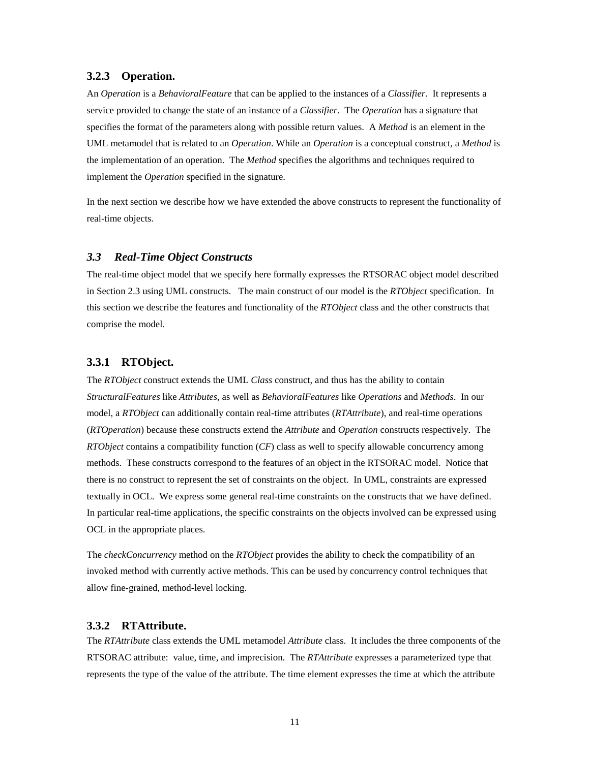#### **3.2.3 Operation.**

An *Operation* is a *BehavioralFeature* that can be applied to the instances of a *Classifier*. It represents a service provided to change the state of an instance of a *Classifier*. The *Operation* has a signature that specifies the format of the parameters along with possible return values. A *Method* is an element in the UML metamodel that is related to an *Operation*. While an *Operation* is a conceptual construct, a *Method* is the implementation of an operation. The *Method* specifies the algorithms and techniques required to implement the *Operation* specified in the signature.

In the next section we describe how we have extended the above constructs to represent the functionality of real-time objects.

#### *3.3 Real-Time Object Constructs*

The real-time object model that we specify here formally expresses the RTSORAC object model described in Section 2.3 using UML constructs. The main construct of our model is the *RTObject* specification. In this section we describe the features and functionality of the *RTObject* class and the other constructs that comprise the model.

#### **3.3.1 RTObject.**

The *RTObject* construct extends the UML *Class* construct, and thus has the ability to contain *StructuralFeatures* like *Attributes*, as well as *BehavioralFeatures* like *Operations* and *Methods*. In our model, a *RTObject* can additionally contain real-time attributes (*RTAttribute*), and real-time operations (*RTOperation*) because these constructs extend the *Attribute* and *Operation* constructs respectively. The *RTObject* contains a compatibility function (*CF*) class as well to specify allowable concurrency among methods. These constructs correspond to the features of an object in the RTSORAC model. Notice that there is no construct to represent the set of constraints on the object. In UML, constraints are expressed textually in OCL. We express some general real-time constraints on the constructs that we have defined. In particular real-time applications, the specific constraints on the objects involved can be expressed using OCL in the appropriate places.

The *checkConcurrency* method on the *RTObject* provides the ability to check the compatibility of an invoked method with currently active methods. This can be used by concurrency control techniques that allow fine-grained, method-level locking.

### **3.3.2 RTAttribute.**

The *RTAttribute* class extends the UML metamodel *Attribute* class. It includes the three components of the RTSORAC attribute: value, time, and imprecision. The *RTAttribute* expresses a parameterized type that represents the type of the value of the attribute. The time element expresses the time at which the attribute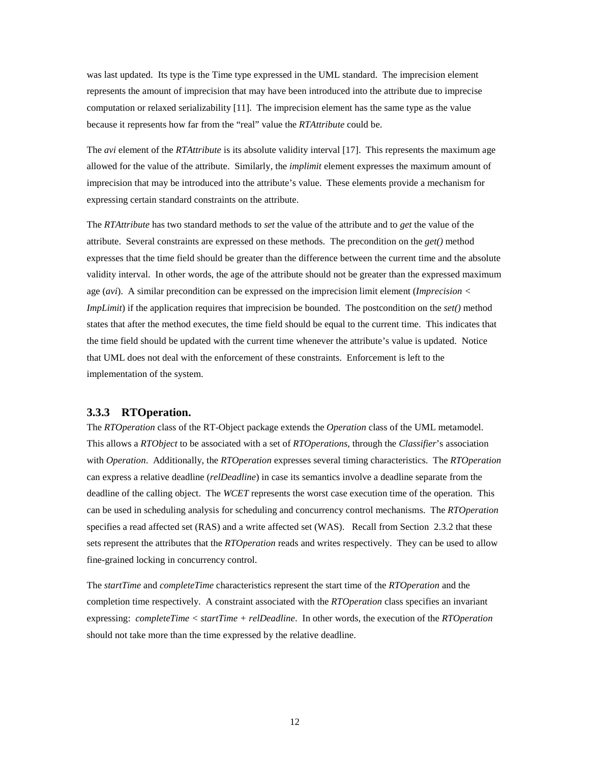was last updated. Its type is the Time type expressed in the UML standard. The imprecision element represents the amount of imprecision that may have been introduced into the attribute due to imprecise computation or relaxed serializability [11]. The imprecision element has the same type as the value because it represents how far from the "real" value the *RTAttribute* could be.

The *avi* element of the *RTAttribute* is its absolute validity interval [17]. This represents the maximum age allowed for the value of the attribute. Similarly, the *implimit* element expresses the maximum amount of imprecision that may be introduced into the attribute's value. These elements provide a mechanism for expressing certain standard constraints on the attribute.

The *RTAttribute* has two standard methods to *set* the value of the attribute and to *get* the value of the attribute. Several constraints are expressed on these methods. The precondition on the *get()* method expresses that the time field should be greater than the difference between the current time and the absolute validity interval. In other words, the age of the attribute should not be greater than the expressed maximum age (*avi*). A similar precondition can be expressed on the imprecision limit element (*Imprecision < ImpLimit*) if the application requires that imprecision be bounded. The postcondition on the *set()* method states that after the method executes, the time field should be equal to the current time. This indicates that the time field should be updated with the current time whenever the attribute's value is updated. Notice that UML does not deal with the enforcement of these constraints. Enforcement is left to the implementation of the system.

#### **3.3.3 RTOperation.**

The *RTOperation* class of the RT-Object package extends the *Operation* class of the UML metamodel. This allows a *RTObject* to be associated with a set of *RTOperations*, through the *Classifier*'s association with *Operation*. Additionally, the *RTOperation* expresses several timing characteristics. The *RTOperation* can express a relative deadline (*relDeadline*) in case its semantics involve a deadline separate from the deadline of the calling object. The *WCET* represents the worst case execution time of the operation. This can be used in scheduling analysis for scheduling and concurrency control mechanisms. The *RTOperation* specifies a read affected set (RAS) and a write affected set (WAS). Recall from Section 2.3.2 that these sets represent the attributes that the *RTOperation* reads and writes respectively. They can be used to allow fine-grained locking in concurrency control.

The *startTime* and *completeTime* characteristics represent the start time of the *RTOperation* and the completion time respectively. A constraint associated with the *RTOperation* class specifies an invariant expressing: *completeTime < startTime + relDeadline*. In other words, the execution of the *RTOperation* should not take more than the time expressed by the relative deadline.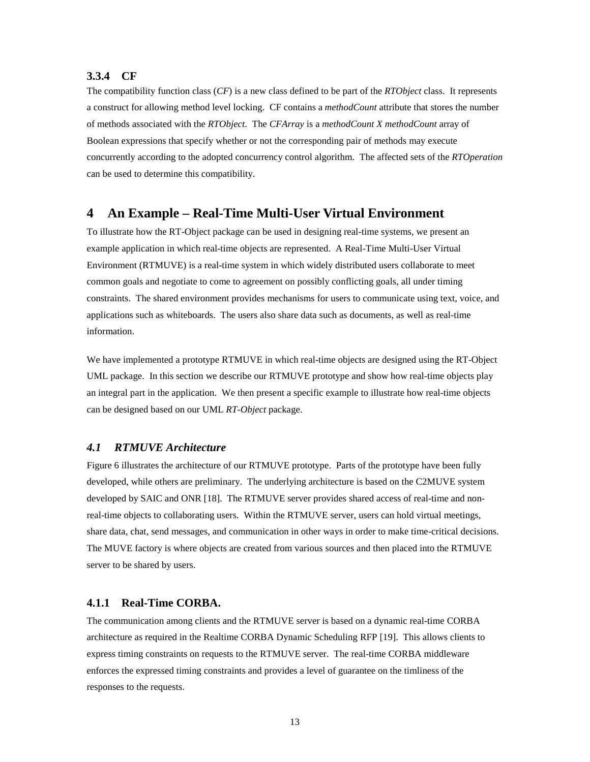## **3.3.4 CF**

The compatibility function class (*CF*) is a new class defined to be part of the *RTObject* class. It represents a construct for allowing method level locking. CF contains a *methodCount* attribute that stores the number of methods associated with the *RTObject*. The *CFArray* is a *methodCount X methodCount* array of Boolean expressions that specify whether or not the corresponding pair of methods may execute concurrently according to the adopted concurrency control algorithm. The affected sets of the *RTOperation* can be used to determine this compatibility.

## **4 An Example – Real-Time Multi-User Virtual Environment**

To illustrate how the RT-Object package can be used in designing real-time systems, we present an example application in which real-time objects are represented. A Real-Time Multi-User Virtual Environment (RTMUVE) is a real-time system in which widely distributed users collaborate to meet common goals and negotiate to come to agreement on possibly conflicting goals, all under timing constraints. The shared environment provides mechanisms for users to communicate using text, voice, and applications such as whiteboards. The users also share data such as documents, as well as real-time information.

We have implemented a prototype RTMUVE in which real-time objects are designed using the RT-Object UML package. In this section we describe our RTMUVE prototype and show how real-time objects play an integral part in the application. We then present a specific example to illustrate how real-time objects can be designed based on our UML *RT-Object* package.

## *4.1 RTMUVE Architecture*

Figure 6 illustrates the architecture of our RTMUVE prototype. Parts of the prototype have been fully developed, while others are preliminary. The underlying architecture is based on the C2MUVE system developed by SAIC and ONR [18]. The RTMUVE server provides shared access of real-time and nonreal-time objects to collaborating users. Within the RTMUVE server, users can hold virtual meetings, share data, chat, send messages, and communication in other ways in order to make time-critical decisions. The MUVE factory is where objects are created from various sources and then placed into the RTMUVE server to be shared by users.

## **4.1.1 Real-Time CORBA.**

The communication among clients and the RTMUVE server is based on a dynamic real-time CORBA architecture as required in the Realtime CORBA Dynamic Scheduling RFP [19]. This allows clients to express timing constraints on requests to the RTMUVE server. The real-time CORBA middleware enforces the expressed timing constraints and provides a level of guarantee on the timliness of the responses to the requests.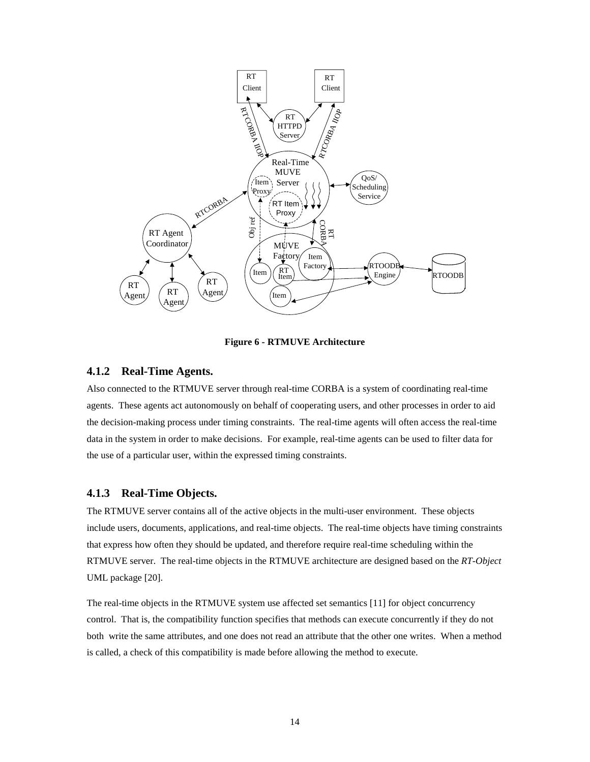

**Figure 6 - RTMUVE Architecture**

## **4.1.2 Real-Time Agents.**

Also connected to the RTMUVE server through real-time CORBA is a system of coordinating real-time agents. These agents act autonomously on behalf of cooperating users, and other processes in order to aid the decision-making process under timing constraints. The real-time agents will often access the real-time data in the system in order to make decisions. For example, real-time agents can be used to filter data for the use of a particular user, within the expressed timing constraints.

## **4.1.3 Real-Time Objects.**

The RTMUVE server contains all of the active objects in the multi-user environment. These objects include users, documents, applications, and real-time objects. The real-time objects have timing constraints that express how often they should be updated, and therefore require real-time scheduling within the RTMUVE server. The real-time objects in the RTMUVE architecture are designed based on the *RT-Object* UML package [20].

The real-time objects in the RTMUVE system use affected set semantics [11] for object concurrency control. That is, the compatibility function specifies that methods can execute concurrently if they do not both write the same attributes, and one does not read an attribute that the other one writes. When a method is called, a check of this compatibility is made before allowing the method to execute.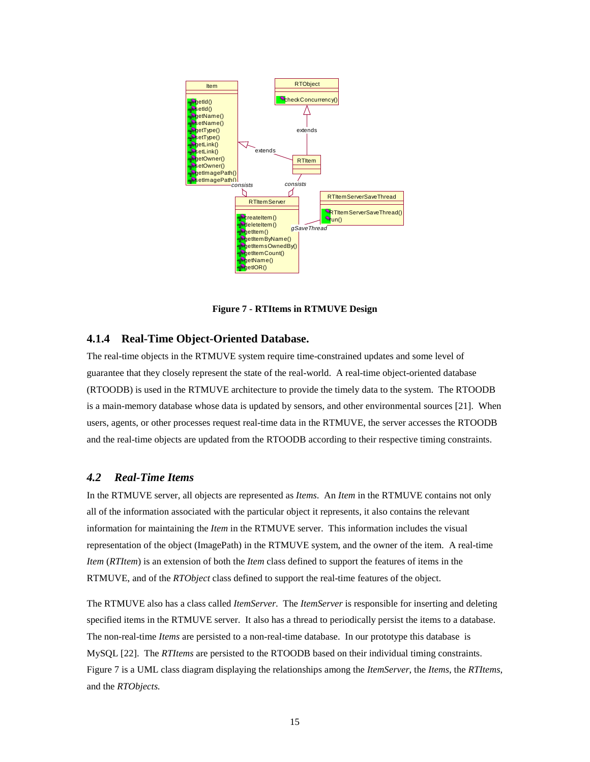

**Figure 7 - RTItems in RTMUVE Design**

## **4.1.4 Real-Time Object-Oriented Database.**

The real-time objects in the RTMUVE system require time-constrained updates and some level of guarantee that they closely represent the state of the real-world. A real-time object-oriented database (RTOODB) is used in the RTMUVE architecture to provide the timely data to the system. The RTOODB is a main-memory database whose data is updated by sensors, and other environmental sources [21]. When users, agents, or other processes request real-time data in the RTMUVE, the server accesses the RTOODB and the real-time objects are updated from the RTOODB according to their respective timing constraints.

## *4.2 Real-Time Items*

In the RTMUVE server, all objects are represented as *Items*. An *Item* in the RTMUVE contains not only all of the information associated with the particular object it represents, it also contains the relevant information for maintaining the *Item* in the RTMUVE server. This information includes the visual representation of the object (ImagePath) in the RTMUVE system, and the owner of the item. A real-time *Item* (*RTItem*) is an extension of both the *Item* class defined to support the features of items in the RTMUVE, and of the *RTObject* class defined to support the real-time features of the object.

The RTMUVE also has a class called *ItemServer*. The *ItemServer* is responsible for inserting and deleting specified items in the RTMUVE server. It also has a thread to periodically persist the items to a database. The non-real-time *Items* are persisted to a non-real-time database. In our prototype this database is MySQL [22]. The *RTItems* are persisted to the RTOODB based on their individual timing constraints. Figure 7 is a UML class diagram displaying the relationships among the *ItemServer*, the *Items*, the *RTItems*, and the *RTObjects.*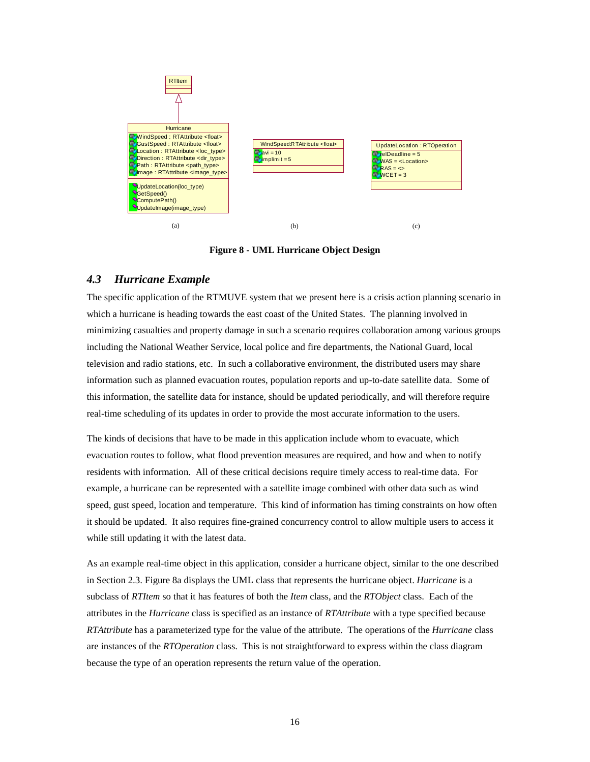

**Figure 8 - UML Hurricane Object Design**

## *4.3 Hurricane Example*

The specific application of the RTMUVE system that we present here is a crisis action planning scenario in which a hurricane is heading towards the east coast of the United States. The planning involved in minimizing casualties and property damage in such a scenario requires collaboration among various groups including the National Weather Service, local police and fire departments, the National Guard, local television and radio stations, etc. In such a collaborative environment, the distributed users may share information such as planned evacuation routes, population reports and up-to-date satellite data. Some of this information, the satellite data for instance, should be updated periodically, and will therefore require real-time scheduling of its updates in order to provide the most accurate information to the users.

The kinds of decisions that have to be made in this application include whom to evacuate, which evacuation routes to follow, what flood prevention measures are required, and how and when to notify residents with information. All of these critical decisions require timely access to real-time data. For example, a hurricane can be represented with a satellite image combined with other data such as wind speed, gust speed, location and temperature. This kind of information has timing constraints on how often it should be updated. It also requires fine-grained concurrency control to allow multiple users to access it while still updating it with the latest data.

As an example real-time object in this application, consider a hurricane object, similar to the one described in Section 2.3. Figure 8a displays the UML class that represents the hurricane object. *Hurricane* is a subclass of *RTItem* so that it has features of both the *Item* class, and the *RTObject* class. Each of the attributes in the *Hurricane* class is specified as an instance of *RTAttribute* with a type specified because *RTAttribute* has a parameterized type for the value of the attribute. The operations of the *Hurricane* class are instances of the *RTOperation* class. This is not straightforward to express within the class diagram because the type of an operation represents the return value of the operation.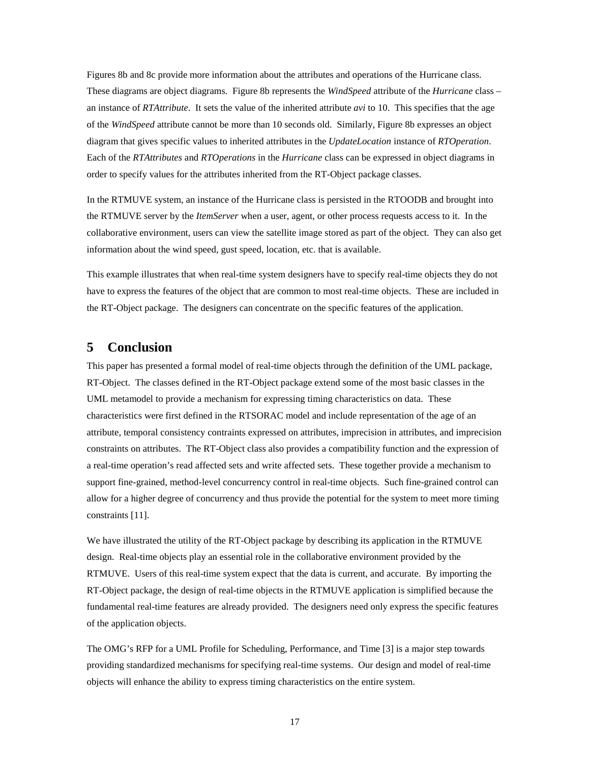Figures 8b and 8c provide more information about the attributes and operations of the Hurricane class. These diagrams are object diagrams. Figure 8b represents the *WindSpeed* attribute of the *Hurricane* class – an instance of *RTAttribute*. It sets the value of the inherited attribute *avi* to 10. This specifies that the age of the *WindSpeed* attribute cannot be more than 10 seconds old. Similarly, Figure 8b expresses an object diagram that gives specific values to inherited attributes in the *UpdateLocation* instance of *RTOperation*. Each of the *RTAttributes* and *RTOperations* in the *Hurricane* class can be expressed in object diagrams in order to specify values for the attributes inherited from the RT-Object package classes.

In the RTMUVE system, an instance of the Hurricane class is persisted in the RTOODB and brought into the RTMUVE server by the *ItemServer* when a user, agent, or other process requests access to it. In the collaborative environment, users can view the satellite image stored as part of the object. They can also get information about the wind speed, gust speed, location, etc. that is available.

This example illustrates that when real-time system designers have to specify real-time objects they do not have to express the features of the object that are common to most real-time objects. These are included in the RT-Object package. The designers can concentrate on the specific features of the application.

## **5 Conclusion**

This paper has presented a formal model of real-time objects through the definition of the UML package, RT-Object. The classes defined in the RT-Object package extend some of the most basic classes in the UML metamodel to provide a mechanism for expressing timing characteristics on data. These characteristics were first defined in the RTSORAC model and include representation of the age of an attribute, temporal consistency contraints expressed on attributes, imprecision in attributes, and imprecision constraints on attributes. The RT-Object class also provides a compatibility function and the expression of a real-time operation's read affected sets and write affected sets. These together provide a mechanism to support fine-grained, method-level concurrency control in real-time objects. Such fine-grained control can allow for a higher degree of concurrency and thus provide the potential for the system to meet more timing constraints [11].

We have illustrated the utility of the RT-Object package by describing its application in the RTMUVE design. Real-time objects play an essential role in the collaborative environment provided by the RTMUVE. Users of this real-time system expect that the data is current, and accurate. By importing the RT-Object package, the design of real-time objects in the RTMUVE application is simplified because the fundamental real-time features are already provided. The designers need only express the specific features of the application objects.

The OMG's RFP for a UML Profile for Scheduling, Performance, and Time [3] is a major step towards providing standardized mechanisms for specifying real-time systems. Our design and model of real-time objects will enhance the ability to express timing characteristics on the entire system.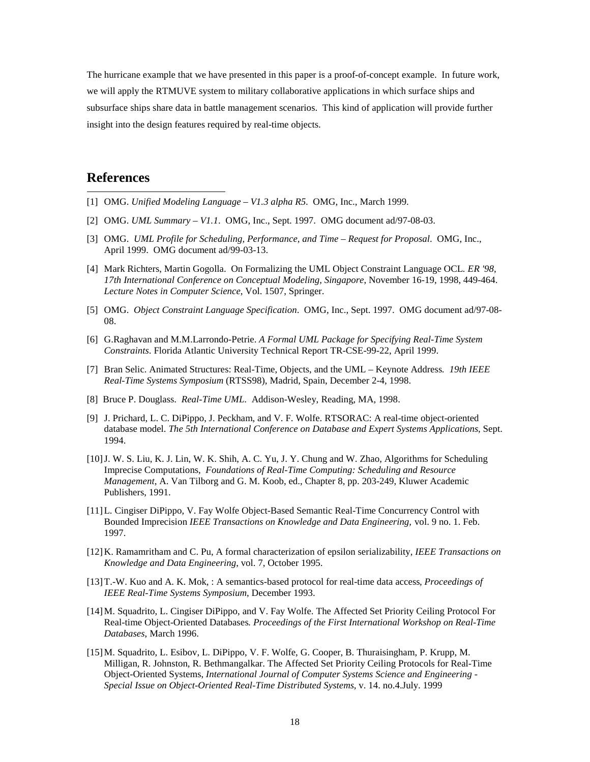The hurricane example that we have presented in this paper is a proof-of-concept example. In future work, we will apply the RTMUVE system to military collaborative applications in which surface ships and subsurface ships share data in battle management scenarios. This kind of application will provide further insight into the design features required by real-time objects.

## **References**

 $\overline{a}$ 

- [1] OMG. *Unified Modeling Language V1.3 alpha R5*. OMG, Inc., March 1999.
- [2] OMG. *UML Summary V1.1*. OMG, Inc., Sept. 1997. OMG document ad/97-08-03.
- [3] OMG. *UML Profile for Scheduling, Performance, and Time Request for Proposal*. OMG, Inc., April 1999. OMG document ad/99-03-13.
- [4] Mark Richters, Martin Gogolla. On Formalizing the UML Object Constraint Language OCL*. ER '98, 17th International Conference on Conceptual Modeling, Singapore*, November 16-19, 1998, 449-464. *Lecture Notes in Computer Science*, Vol. 1507, Springer.
- [5] OMG. *Object Constraint Language Specification*. OMG, Inc., Sept. 1997. OMG document ad/97-08- 08.
- [6] G.Raghavan and M.M.Larrondo-Petrie. *A Formal UML Package for Specifying Real-Time System Constraints*. Florida Atlantic University Technical Report TR-CSE-99-22, April 1999.
- [7] Bran Selic. Animated Structures: Real-Time, Objects, and the UML Keynote Address*. 19th IEEE Real-Time Systems Symposium* (RTSS98), Madrid, Spain, December 2-4, 1998.
- [8] Bruce P. Douglass. *Real-Time UML*. Addison-Wesley, Reading, MA, 1998.
- [9] J. Prichard, L. C. DiPippo, J. Peckham, and V. F. Wolfe. RTSORAC: A real-time object-oriented database model. *The 5th International Conference on Database and Expert Systems Applications*, Sept. 1994.
- [10] J. W. S. Liu, K. J. Lin, W. K. Shih, A. C. Yu, J. Y. Chung and W. Zhao, Algorithms for Scheduling Imprecise Computations, *Foundations of Real-Time Computing: Scheduling and Resource Management*, A. Van Tilborg and G. M. Koob, ed., Chapter 8, pp. 203-249, Kluwer Academic Publishers, 1991.
- [11] L. Cingiser DiPippo, V. Fay Wolfe Object-Based Semantic Real-Time Concurrency Control with Bounded Imprecision *IEEE Transactions on Knowledge and Data Engineering,* vol. 9 no. 1. Feb. 1997.
- [12] K. Ramamritham and C. Pu, A formal characterization of epsilon serializability, *IEEE Transactions on Knowledge and Data Engineering*, vol. 7, October 1995.
- [13] T.-W. Kuo and A. K. Mok, : A semantics-based protocol for real-time data access*, Proceedings of IEEE Real-Time Systems Symposium*, December 1993.
- [14] M. Squadrito, L. Cingiser DiPippo, and V. Fay Wolfe. The Affected Set Priority Ceiling Protocol For Real-time Object-Oriented Databases*. Proceedings of the First International Workshop on Real-Time Databases*, March 1996.
- [15] M. Squadrito, L. Esibov, L. DiPippo, V. F. Wolfe, G. Cooper, B. Thuraisingham, P. Krupp, M. Milligan, R. Johnston, R. Bethmangalkar. The Affected Set Priority Ceiling Protocols for Real-Time Object-Oriented Systems, *International Journal of Computer Systems Science and Engineering - Special Issue on Object-Oriented Real-Time Distributed Systems*, v. 14. no.4.July. 1999